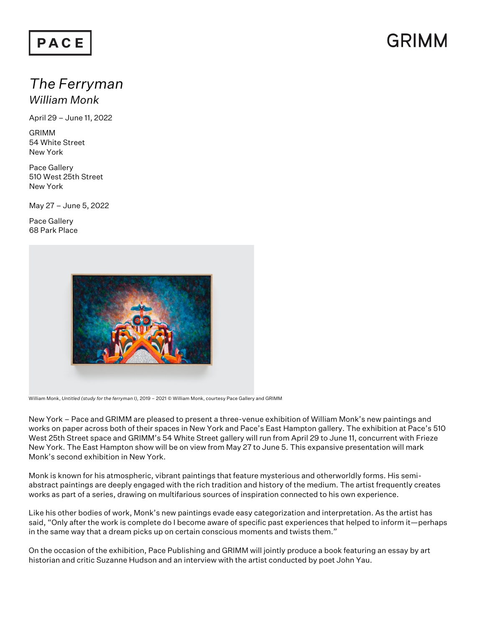### PACE

## GRIMM

## *The Ferryman*

*William Monk*

April 29 – June 11, 2022

GRIMM 54 White Street New York

Pace Gallery 510 West 25th Street New York

May 27 – June 5, 2022

Pace Gallery 68 Park Place



William Monk, *Untitled (study for the ferryman I),* 2019 – 2021 © William Monk, courtesy Pace Gallery and GRIMM

New York – Pace and GRIMM are pleased to present a three-venue exhibition of William Monk's new paintings and works on paper across both of their spaces in New York and Pace's East Hampton gallery. The exhibition at Pace's 510 West 25th Street space and GRIMM's 54 White Street gallery will run from April 29 to June 11, concurrent with Frieze New York. The East Hampton show will be on view from May 27 to June 5. This expansive presentation will mark Monk's second exhibition in New York.

Monk is known for his atmospheric, vibrant paintings that feature mysterious and otherworldly forms. His semiabstract paintings are deeply engaged with the rich tradition and history of the medium. The artist frequently creates works as part of a series, drawing on multifarious sources of inspiration connected to his own experience.

Like his other bodies of work, Monk's new paintings evade easy categorization and interpretation. As the artist has said, "Only after the work is complete do I become aware of specific past experiences that helped to inform it—perhaps in the same way that a dream picks up on certain conscious moments and twists them."

On the occasion of the exhibition, Pace Publishing and GRIMM will jointly produce a book featuring an essay by art historian and critic Suzanne Hudson and an interview with the artist conducted by poet John Yau.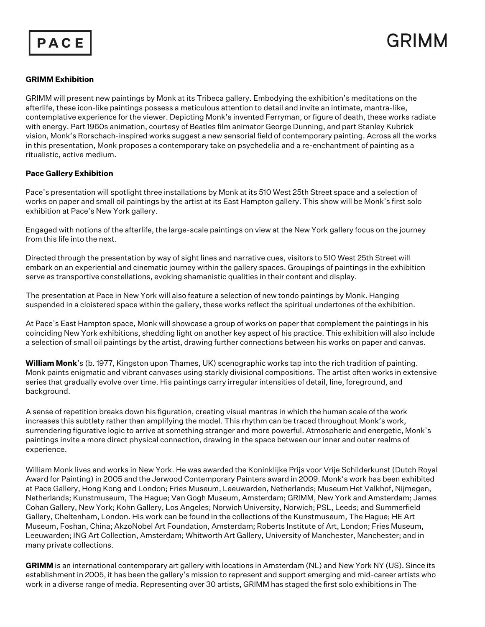



#### **GRIMM Exhibition**

GRIMM will present new paintings by Monk at its Tribeca gallery. Embodying the exhibition's meditations on the afterlife, these icon-like paintings possess a meticulous attention to detail and invite an intimate, mantra-like, contemplative experience for the viewer. Depicting Monk's invented Ferryman, or figure of death, these works radiate with energy. Part 1960s animation, courtesy of Beatles film animator George Dunning, and part Stanley Kubrick vision, Monk's Rorschach-inspired works suggest a new sensorial field of contemporary painting. Across all the works in this presentation, Monk proposes a contemporary take on psychedelia and a re-enchantment of painting as a ritualistic, active medium.

#### **Pace Gallery Exhibition**

Pace's presentation will spotlight three installations by Monk at its 510 West 25th Street space and a selection of works on paper and small oil paintings by the artist at its East Hampton gallery. This show will be Monk's first solo exhibition at Pace's New York gallery.

Engaged with notions of the afterlife, the large-scale paintings on view at the New York gallery focus on the journey from this life into the next.

Directed through the presentation by way of sight lines and narrative cues, visitors to 510 West 25th Street will embark on an experiential and cinematic journey within the gallery spaces. Groupings of paintings in the exhibition serve as transportive constellations, evoking shamanistic qualities in their content and display.

The presentation at Pace in New York will also feature a selection of new tondo paintings by Monk. Hanging suspended in a cloistered space within the gallery, these works reflect the spiritual undertones of the exhibition.

At Pace's East Hampton space, Monk will showcase a group of works on paper that complement the paintings in his coinciding New York exhibitions, shedding light on another key aspect of his practice. This exhibition will also include a selection of small oil paintings by the artist, drawing further connections between his works on paper and canvas.

**William Monk**'s (b. 1977, Kingston upon Thames, UK) scenographic works tap into the rich tradition of painting. Monk paints enigmatic and vibrant canvases using starkly divisional compositions. The artist often works in extensive series that gradually evolve over time. His paintings carry irregular intensities of detail, line, foreground, and background.

A sense of repetition breaks down his figuration, creating visual mantras in which the human scale of the work increases this subtlety rather than amplifying the model. This rhythm can be traced throughout Monk's work, surrendering figurative logic to arrive at something stranger and more powerful. Atmospheric and energetic, Monk's paintings invite a more direct physical connection, drawing in the space between our inner and outer realms of experience.

William Monk lives and works in New York. He was awarded the Koninklijke Prijs voor Vrije Schilderkunst (Dutch Royal Award for Painting) in 2005 and the Jerwood Contemporary Painters award in 2009. Monk's work has been exhibited at Pace Gallery, Hong Kong and London; Fries Museum, Leeuwarden, Netherlands; Museum Het Valkhof, Nijmegen, Netherlands; Kunstmuseum, The Hague; Van Gogh Museum, Amsterdam; GRIMM, New York and Amsterdam; James Cohan Gallery, New York; Kohn Gallery, Los Angeles; Norwich University, Norwich; PSL, Leeds; and Summerfield Gallery, Cheltenham, London. His work can be found in the collections of the Kunstmuseum, The Hague; HE Art Museum, Foshan, China; AkzoNobel Art Foundation, Amsterdam; Roberts Institute of Art, London; Fries Museum, Leeuwarden; ING Art Collection, Amsterdam; Whitworth Art Gallery, University of Manchester, Manchester; and in many private collections.

**GRIMM** is an international contemporary art gallery with locations in Amsterdam (NL) and New York NY (US). Since its establishment in 2005, it has been the gallery's mission to represent and support emerging and mid-career artists who work in a diverse range of media. Representing over 30 artists, GRIMM has staged the first solo exhibitions in The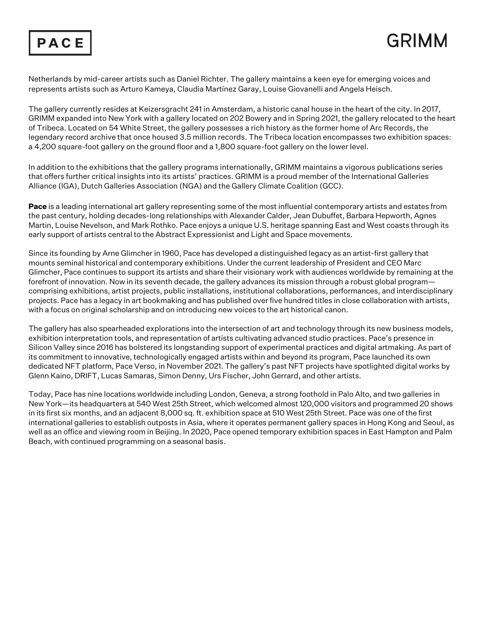



Netherlands by mid-career artists such as Daniel Richter. The gallery maintains a keen eye for emerging voices and represents artists such as Arturo Kameya, Claudia Martínez Garay, Louise Giovanelli and Angela Heisch.

The gallery currently resides at Keizersgracht 241 in Amsterdam, a historic canal house in the heart of the city. In 2017, GRIMM expanded into New York with a gallery located on 202 Bowery and in Spring 2021, the gallery relocated to the heart of Tribeca. Located on 54 White Street, the gallery possesses a rich history as the former home of Arc Records, the legendary record archive that once housed 3.5 million records. The Tribeca location encompasses two exhibition spaces: a 4,200 square-foot gallery on the ground floor and a 1,800 square-foot gallery on the lower level.

In addition to the exhibitions that the gallery programs internationally, GRIMM maintains a vigorous publications series that offers further critical insights into its artists' practices. GRIMM is a proud member of the International Galleries Alliance (IGA), Dutch Galleries Association (NGA) and the Gallery Climate Coalition (GCC).

**Pace** is a leading international art gallery representing some of the most influential contemporary artists and estates from the past century, holding decades-long relationships with Alexander Calder, Jean Dubuffet, Barbara Hepworth, Agnes Martin, Louise Nevelson, and Mark Rothko. Pace enjoys a unique U.S. heritage spanning East and West coasts through its early support of artists central to the Abstract Expressionist and Light and Space movements.

Since its founding by Arne Glimcher in 1960, Pace has developed a distinguished legacy as an artist-first gallery that mounts seminal historical and contemporary exhibitions. Under the current leadership of President and CEO Marc Glimcher, Pace continues to support its artists and share their visionary work with audiences worldwide by remaining at the forefront of innovation. Now in its seventh decade, the gallery advances its mission through a robust global program comprising exhibitions, artist projects, public installations, institutional collaborations, performances, and interdisciplinary projects. Pace has a legacy in art bookmaking and has published over five hundred titles in close collaboration with artists, with a focus on original scholarship and on introducing new voices to the art historical canon.

The gallery has also spearheaded explorations into the intersection of art and technology through its new business models, exhibition interpretation tools, and representation of artists cultivating advanced studio practices. Pace's presence in Silicon Valley since 2016 has bolstered its longstanding support of experimental practices and digital artmaking. As part of its commitment to innovative, technologically engaged artists within and beyond its program, Pace launched its own dedicated NFT platform, Pace Verso, in November 2021. The gallery's past NFT projects have spotlighted digital works by Glenn Kaino, DRIFT, Lucas Samaras, Simon Denny, Urs Fischer, John Gerrard, and other artists.

Today, Pace has nine locations worldwide including London, Geneva, a strong foothold in Palo Alto, and two galleries in New York—its headquarters at 540 West 25th Street, which welcomed almost 120,000 visitors and programmed 20 shows in its first six months, and an adjacent 8,000 sq. ft. exhibition space at 510 West 25th Street. Pace was one of the first international galleries to establish outposts in Asia, where it operates permanent gallery spaces in Hong Kong and Seoul, as well as an office and viewing room in Beijing. In 2020, Pace opened temporary exhibition spaces in East Hampton and Palm Beach, with continued programming on a seasonal basis.